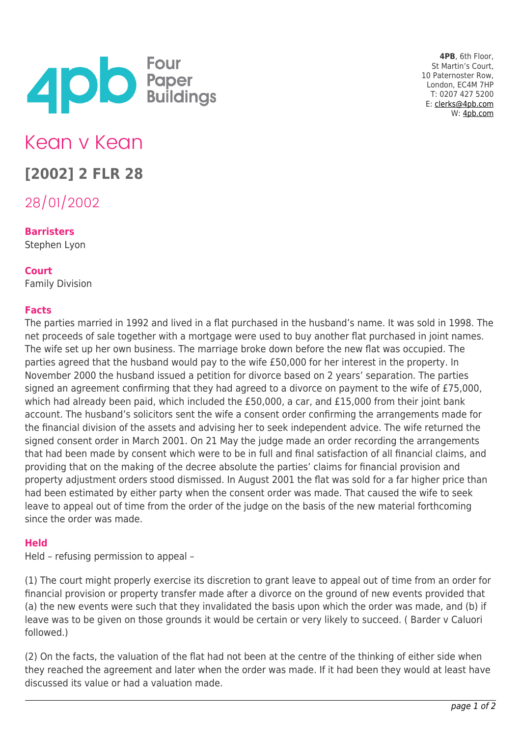

**4PB**, 6th Floor, St Martin's Court, 10 Paternoster Row, London, EC4M 7HP T: 0207 427 5200 E: [clerks@4pb.com](mailto:clerks@4pb.com) W: [4pb.com](http://4pb.com)

# Kean v Kean

## **[2002] 2 FLR 28**

28/01/2002

### **Barristers**

Stephen Lyon

#### **Court**

Family Division

#### **Facts**

The parties married in 1992 and lived in a flat purchased in the husband's name. It was sold in 1998. The net proceeds of sale together with a mortgage were used to buy another flat purchased in joint names. The wife set up her own business. The marriage broke down before the new flat was occupied. The parties agreed that the husband would pay to the wife £50,000 for her interest in the property. In November 2000 the husband issued a petition for divorce based on 2 years' separation. The parties signed an agreement confirming that they had agreed to a divorce on payment to the wife of £75,000, which had already been paid, which included the £50,000, a car, and £15,000 from their joint bank account. The husband's solicitors sent the wife a consent order confirming the arrangements made for the financial division of the assets and advising her to seek independent advice. The wife returned the signed consent order in March 2001. On 21 May the judge made an order recording the arrangements that had been made by consent which were to be in full and final satisfaction of all financial claims, and providing that on the making of the decree absolute the parties' claims for financial provision and property adjustment orders stood dismissed. In August 2001 the flat was sold for a far higher price than had been estimated by either party when the consent order was made. That caused the wife to seek leave to appeal out of time from the order of the judge on the basis of the new material forthcoming since the order was made.

#### **Held**

Held – refusing permission to appeal –

(1) The court might properly exercise its discretion to grant leave to appeal out of time from an order for financial provision or property transfer made after a divorce on the ground of new events provided that (a) the new events were such that they invalidated the basis upon which the order was made, and (b) if leave was to be given on those grounds it would be certain or very likely to succeed. ( Barder v Caluori followed.)

(2) On the facts, the valuation of the flat had not been at the centre of the thinking of either side when they reached the agreement and later when the order was made. If it had been they would at least have discussed its value or had a valuation made.